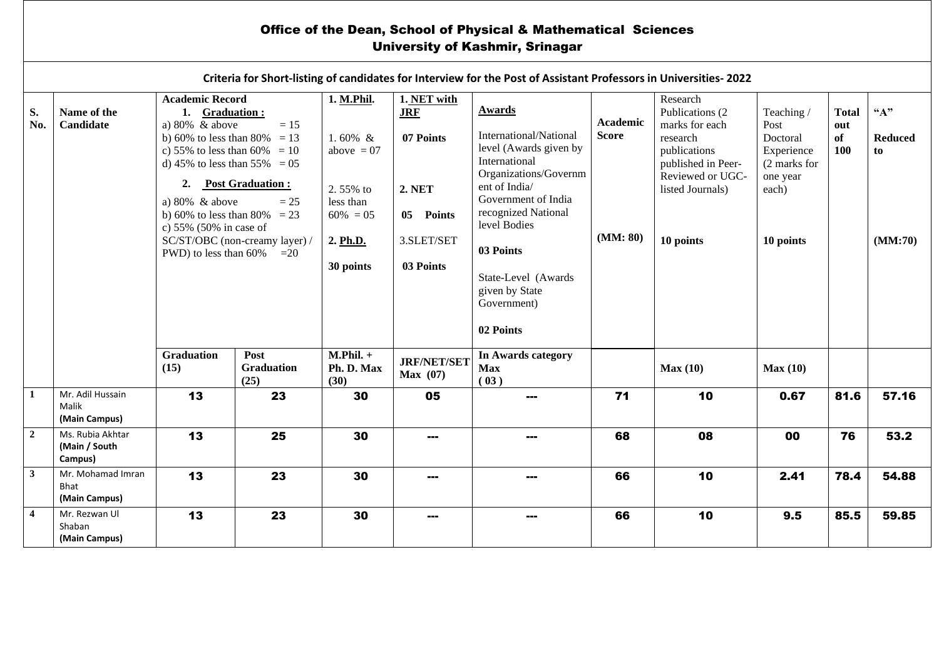## Office of the Dean, School of Physical & Mathematical Sciences University of Kashmir, Srinagar

|                         | Criteria for Short-listing of candidates for Interview for the Post of Assistant Professors in Universities-2022 |                                                                                                                                                                                                                                                                                                                                                                        |                                   |                                                                                                          |                                                                                                 |                                                                                                                                                                                                                                                          |                                      |                                                                                                                                                       |                                                                                               |                                  |                                         |  |  |
|-------------------------|------------------------------------------------------------------------------------------------------------------|------------------------------------------------------------------------------------------------------------------------------------------------------------------------------------------------------------------------------------------------------------------------------------------------------------------------------------------------------------------------|-----------------------------------|----------------------------------------------------------------------------------------------------------|-------------------------------------------------------------------------------------------------|----------------------------------------------------------------------------------------------------------------------------------------------------------------------------------------------------------------------------------------------------------|--------------------------------------|-------------------------------------------------------------------------------------------------------------------------------------------------------|-----------------------------------------------------------------------------------------------|----------------------------------|-----------------------------------------|--|--|
| S.<br>No.               | Name of the<br>Candidate                                                                                         | <b>Academic Record</b><br>1. Graduation:<br>a) $80\%$ & above<br>$=15$<br>b) 60% to less than 80% = 13<br>c) 55% to less than 60% = 10<br>d) 45% to less than 55% = 05<br><b>Post Graduation:</b><br>2.<br>a) $80\%$ & above<br>$=25$<br>b) 60% to less than 80% = 23<br>c) $55\%$ (50% in case of<br>SC/ST/OBC (non-creamy layer) /<br>PWD) to less than 60%<br>$=20$ |                                   | 1. M.Phil.<br>1.60% $&$<br>above $= 07$<br>2.55% to<br>less than<br>$60\% = 05$<br>2. Ph.D.<br>30 points | 1. NET with<br><b>JRF</b><br>07 Points<br><b>2. NET</b><br>05 Points<br>3.SLET/SET<br>03 Points | Awards<br>International/National<br>level (Awards given by<br>International<br>Organizations/Governm<br>ent of India/<br>Government of India<br>recognized National<br>level Bodies<br>03 Points<br>State-Level (Awards<br>given by State<br>Government) | Academic<br><b>Score</b><br>(MM: 80) | Research<br>Publications (2)<br>marks for each<br>research<br>publications<br>published in Peer-<br>Reviewed or UGC-<br>listed Journals)<br>10 points | Teaching/<br>Post<br>Doctoral<br>Experience<br>(2 marks for<br>one year<br>each)<br>10 points | <b>Total</b><br>out<br>of<br>100 | ``A"<br><b>Reduced</b><br>to<br>(MM:70) |  |  |
|                         |                                                                                                                  | Graduation<br>(15)                                                                                                                                                                                                                                                                                                                                                     | Post<br><b>Graduation</b><br>(25) | $M.Phil. +$<br>Ph. D. Max<br>(30)                                                                        | <b>JRF/NET/SET</b><br>Max(07)                                                                   | 02 Points<br>In Awards category<br><b>Max</b><br>(03)                                                                                                                                                                                                    |                                      | Max(10)                                                                                                                                               | Max(10)                                                                                       |                                  |                                         |  |  |
| 1                       | Mr. Adil Hussain<br>Malik<br>(Main Campus)                                                                       | 13                                                                                                                                                                                                                                                                                                                                                                     | 23                                | 30                                                                                                       | 05                                                                                              | ---                                                                                                                                                                                                                                                      | 71                                   | 10                                                                                                                                                    | 0.67                                                                                          | 81.6                             | 57.16                                   |  |  |
| $\overline{2}$          | Ms. Rubia Akhtar<br>(Main / South<br>Campus)                                                                     | 13                                                                                                                                                                                                                                                                                                                                                                     | 25                                | 30                                                                                                       | ---                                                                                             |                                                                                                                                                                                                                                                          | 68                                   | 08                                                                                                                                                    | 00                                                                                            | 76                               | 53.2                                    |  |  |
| $\mathbf{3}$            | Mr. Mohamad Imran<br>Bhat<br>(Main Campus)                                                                       | 13                                                                                                                                                                                                                                                                                                                                                                     | 23                                | 30                                                                                                       |                                                                                                 |                                                                                                                                                                                                                                                          | 66                                   | 10                                                                                                                                                    | 2.41                                                                                          | 78.4                             | 54.88                                   |  |  |
| $\overline{\mathbf{4}}$ | Mr. Rezwan Ul<br>Shaban<br>(Main Campus)                                                                         | 13                                                                                                                                                                                                                                                                                                                                                                     | 23                                | 30                                                                                                       |                                                                                                 |                                                                                                                                                                                                                                                          | 66                                   | 10                                                                                                                                                    | 9.5                                                                                           | 85.5                             | 59.85                                   |  |  |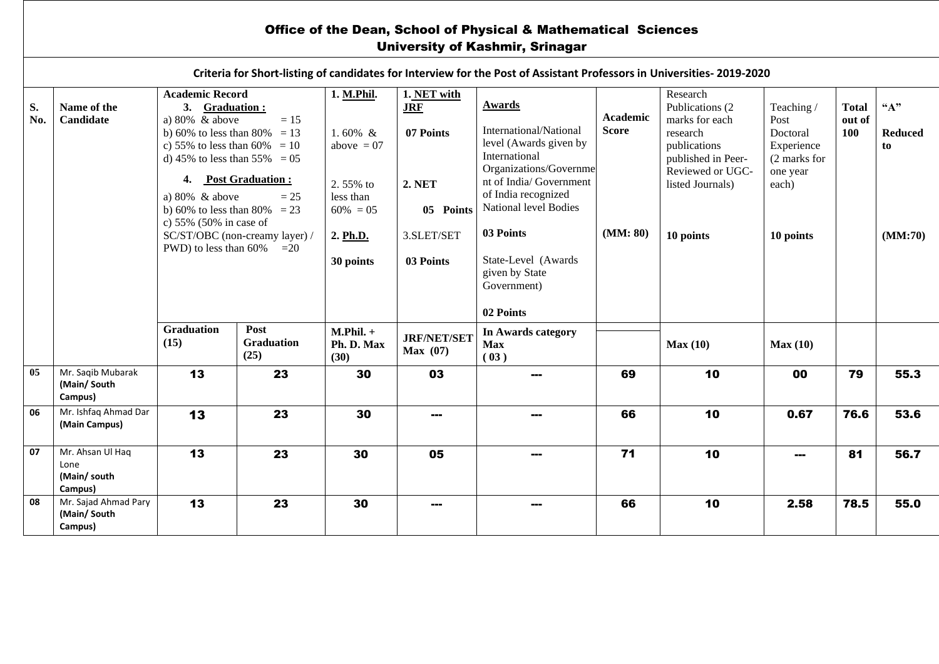## Office of the Dean, School of Physical & Mathematical Sciences University of Kashmir, Srinagar

|           | Criteria for Short-listing of candidates for Interview for the Post of Assistant Professors in Universities-2019-2020 |                                                                                                                                                               |                                         |                                         |                                        |                                                                                                              |                          |                                                                                                                      |                                                                          |                               |                               |  |  |  |
|-----------|-----------------------------------------------------------------------------------------------------------------------|---------------------------------------------------------------------------------------------------------------------------------------------------------------|-----------------------------------------|-----------------------------------------|----------------------------------------|--------------------------------------------------------------------------------------------------------------|--------------------------|----------------------------------------------------------------------------------------------------------------------|--------------------------------------------------------------------------|-------------------------------|-------------------------------|--|--|--|
| S.<br>No. | Name of the<br>Candidate                                                                                              | <b>Academic Record</b><br>3. Graduation:<br>a) $80\%$ & above<br>b) 60% to less than 80% = 13<br>c) 55% to less than 60% = 10<br>d) 45% to less than 55% = 05 | $= 15$                                  | 1. M.Phil.<br>1.60% $&$<br>above $= 07$ | 1. NET with<br><b>JRF</b><br>07 Points | <b>Awards</b><br>International/National<br>level (Awards given by<br>International<br>Organizations/Governme | Academic<br><b>Score</b> | Research<br>Publications (2)<br>marks for each<br>research<br>publications<br>published in Peer-<br>Reviewed or UGC- | Teaching /<br>Post<br>Doctoral<br>Experience<br>(2 marks for<br>one year | <b>Total</b><br>out of<br>100 | $A$ "<br><b>Reduced</b><br>to |  |  |  |
|           |                                                                                                                       | 4. Post Graduation :<br>a) $80\%$ & above<br>$= 25$<br>b) 60% to less than 80% = 23<br>c) 55% (50% in case of                                                 |                                         | 2.55% to<br>less than<br>$60\% = 05$    | <b>2. NET</b><br>05 Points             | nt of India/Government<br>of India recognized<br>National level Bodies                                       |                          | listed Journals)                                                                                                     | each)                                                                    |                               |                               |  |  |  |
|           |                                                                                                                       | PWD) to less than 60%                                                                                                                                         | SC/ST/OBC (non-creamy layer) /<br>$=20$ | 2. Ph.D.<br>30 points                   | 3.SLET/SET<br>03 Points                | 03 Points<br>State-Level (Awards<br>given by State<br>Government)                                            | (MM: 80)                 | 10 points                                                                                                            | 10 points                                                                |                               | (MM:70)                       |  |  |  |
|           |                                                                                                                       | <b>Graduation</b>                                                                                                                                             | Post                                    |                                         |                                        | 02 Points                                                                                                    |                          |                                                                                                                      |                                                                          |                               |                               |  |  |  |
|           |                                                                                                                       | (15)                                                                                                                                                          | <b>Graduation</b><br>(25)               | $M.Phil. +$<br>Ph. D. Max<br>(30)       | <b>JRF/NET/SET</b><br>Max(07)          | In Awards category<br><b>Max</b><br>(03)                                                                     |                          | Max(10)                                                                                                              | Max(10)                                                                  |                               |                               |  |  |  |
| 05        | Mr. Saqib Mubarak<br>(Main/South<br>Campus)                                                                           | 13                                                                                                                                                            | 23                                      | 30                                      | 03                                     |                                                                                                              | 69                       | 10                                                                                                                   | 00                                                                       | 79                            | 55.3                          |  |  |  |
| 06        | Mr. Ishfaq Ahmad Dar<br>(Main Campus)                                                                                 | 13                                                                                                                                                            | 23                                      | 30                                      |                                        |                                                                                                              | 66                       | 10                                                                                                                   | 0.67                                                                     | 76.6                          | 53.6                          |  |  |  |
| 07        | Mr. Ahsan Ul Haq<br>Lone<br>(Main/south<br>Campus)                                                                    | 13                                                                                                                                                            | 23                                      | 30                                      | 05                                     |                                                                                                              | 71                       | 10                                                                                                                   | ---                                                                      | 81                            | 56.7                          |  |  |  |
| 08        | Mr. Sajad Ahmad Pary<br>(Main/South<br>Campus)                                                                        | 13                                                                                                                                                            | 23                                      | 30                                      | $- - -$                                |                                                                                                              | 66                       | 10                                                                                                                   | 2.58                                                                     | 78.5                          | 55.0                          |  |  |  |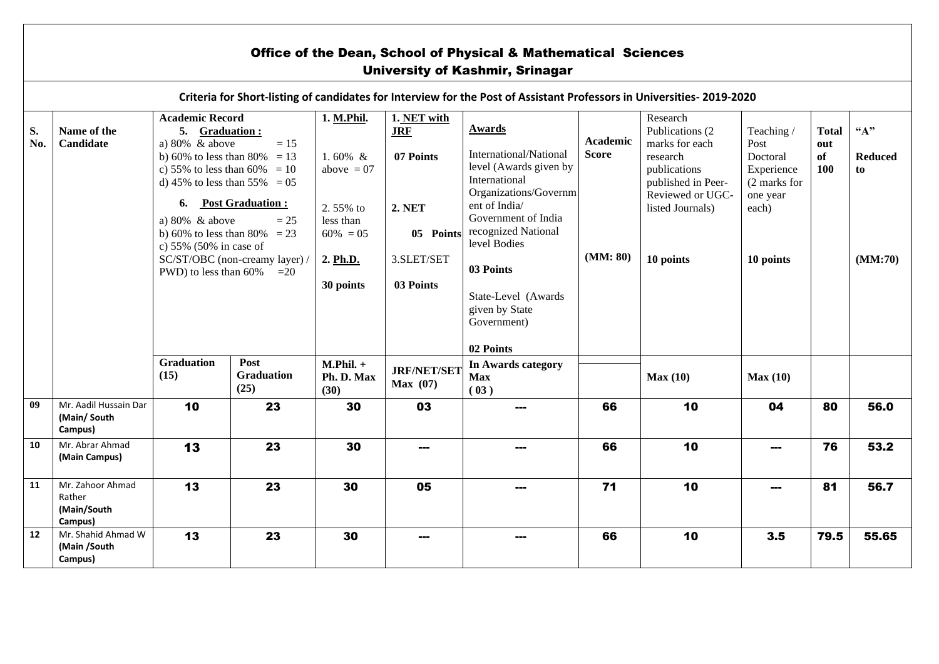|           | <b>Office of the Dean, School of Physical &amp; Mathematical Sciences</b><br><b>University of Kashmir, Srinagar</b>   |                                                                                                                                                                                                                                                                                                                                                                        |                                   |                                                                                                           |                                                                                                 |                                                                                                                                                                                                                                                                                        |                             |                                                                                                                                                       |                                                                                               |                                  |                                          |  |  |
|-----------|-----------------------------------------------------------------------------------------------------------------------|------------------------------------------------------------------------------------------------------------------------------------------------------------------------------------------------------------------------------------------------------------------------------------------------------------------------------------------------------------------------|-----------------------------------|-----------------------------------------------------------------------------------------------------------|-------------------------------------------------------------------------------------------------|----------------------------------------------------------------------------------------------------------------------------------------------------------------------------------------------------------------------------------------------------------------------------------------|-----------------------------|-------------------------------------------------------------------------------------------------------------------------------------------------------|-----------------------------------------------------------------------------------------------|----------------------------------|------------------------------------------|--|--|
|           | Criteria for Short-listing of candidates for Interview for the Post of Assistant Professors in Universities-2019-2020 |                                                                                                                                                                                                                                                                                                                                                                        |                                   |                                                                                                           |                                                                                                 |                                                                                                                                                                                                                                                                                        |                             |                                                                                                                                                       |                                                                                               |                                  |                                          |  |  |
| S.<br>No. | Name of the<br>Candidate                                                                                              | <b>Academic Record</b><br>5. Graduation:<br>a) $80\%$ & above<br>$=15$<br>b) 60% to less than 80% = 13<br>c) 55% to less than 60% = 10<br>d) 45% to less than 55% = 05<br>6.<br><b>Post Graduation:</b><br>a) $80\%$ & above<br>$= 25$<br>b) 60% to less than 80% = 23<br>c) $55\%$ (50% in case of<br>SC/ST/OBC (non-creamy layer) /<br>PWD) to less than $60\%$ = 20 |                                   | 1. M.Phil.<br>1.60% $\&$<br>above $= 07$<br>2.55% to<br>less than<br>$60\% = 05$<br>2. Ph.D.<br>30 points | 1. NET with<br><b>JRF</b><br>07 Points<br><b>2. NET</b><br>05 Points<br>3.SLET/SET<br>03 Points | Awards<br>International/National<br><b>Score</b><br>level (Awards given by<br>International<br>Organizations/Governm<br>ent of India/<br>Government of India<br>recognized National<br>level Bodies<br>03 Points<br>State-Level (Awards)<br>given by State<br>Government)<br>02 Points | <b>Academic</b><br>(MM: 80) | Research<br>Publications (2)<br>marks for each<br>research<br>publications<br>published in Peer-<br>Reviewed or UGC-<br>listed Journals)<br>10 points | Teaching/<br>Post<br>Doctoral<br>Experience<br>(2 marks for<br>one year<br>each)<br>10 points | <b>Total</b><br>out<br>of<br>100 | ``A"<br><b>Reduced</b><br>to.<br>(MM:70) |  |  |
|           |                                                                                                                       | <b>Graduation</b><br>(15)                                                                                                                                                                                                                                                                                                                                              | Post<br><b>Graduation</b><br>(25) | $M.Phil. +$<br>Ph. D. Max<br>(30)                                                                         | <b>JRF/NET/SET</b><br>Max(07)                                                                   | In Awards category<br><b>Max</b><br>(03)                                                                                                                                                                                                                                               |                             | Max(10)                                                                                                                                               | Max(10)                                                                                       |                                  |                                          |  |  |
| 09        | Mr. Aadil Hussain Dar<br>(Main/South<br>Campus)                                                                       | 10                                                                                                                                                                                                                                                                                                                                                                     | 23                                | 30                                                                                                        | 03                                                                                              |                                                                                                                                                                                                                                                                                        | 66                          | 10                                                                                                                                                    | 04                                                                                            | 80                               | 56.0                                     |  |  |
| 10        | Mr. Abrar Ahmad<br>(Main Campus)                                                                                      | 13                                                                                                                                                                                                                                                                                                                                                                     | 23                                | 30                                                                                                        | ---                                                                                             |                                                                                                                                                                                                                                                                                        | 66                          | 10                                                                                                                                                    | ---                                                                                           | 76                               | 53.2                                     |  |  |
| 11        | Mr. Zahoor Ahmad<br>Rather<br>(Main/South<br>Campus)                                                                  | 13                                                                                                                                                                                                                                                                                                                                                                     | 23                                | 30                                                                                                        | 05                                                                                              |                                                                                                                                                                                                                                                                                        | 71                          | 10                                                                                                                                                    | ---                                                                                           | 81                               | 56.7                                     |  |  |
| 12        | Mr. Shahid Ahmad W<br>(Main /South<br>Campus)                                                                         | 13                                                                                                                                                                                                                                                                                                                                                                     | 23                                | 30                                                                                                        | ---                                                                                             | ---                                                                                                                                                                                                                                                                                    | 66                          | 10                                                                                                                                                    | 3.5                                                                                           | 79.5                             | 55.65                                    |  |  |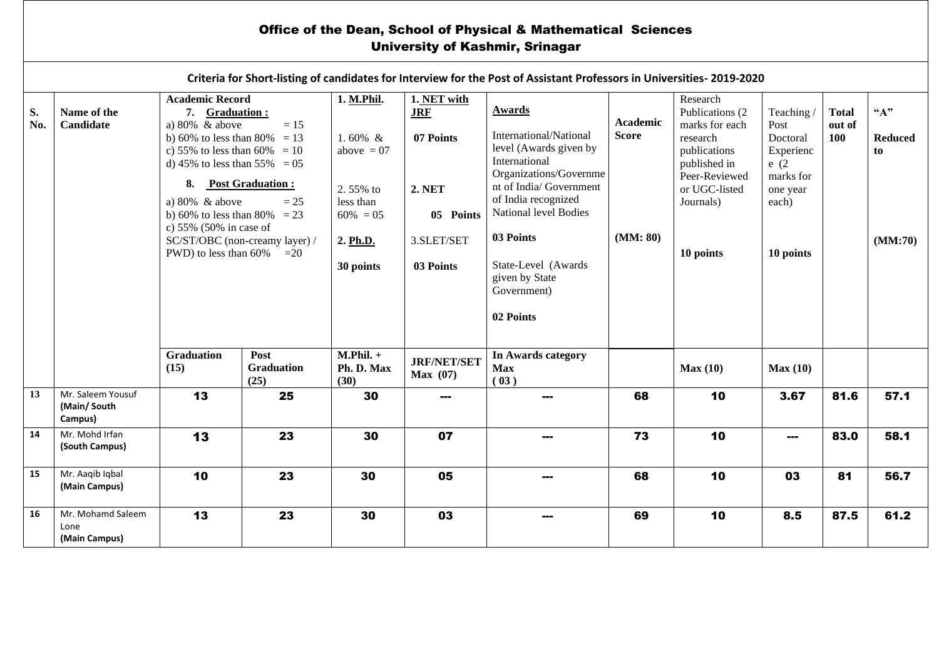## Office of the Dean, School of Physical & Mathematical Sciences University of Kashmir, Srinagar

|           |                                                                                                       |                                                                                                                                                               |                                                                    |                                                                        |                                        | Criteria for Short-listing of candidates for Interview for the Post of Assistant Professors in Universities-2019-2020 |                                |                                                                                           |                                                    |                               |                              |  |         |
|-----------|-------------------------------------------------------------------------------------------------------|---------------------------------------------------------------------------------------------------------------------------------------------------------------|--------------------------------------------------------------------|------------------------------------------------------------------------|----------------------------------------|-----------------------------------------------------------------------------------------------------------------------|--------------------------------|-------------------------------------------------------------------------------------------|----------------------------------------------------|-------------------------------|------------------------------|--|---------|
| S.<br>No. | Name of the<br>Candidate                                                                              | <b>Academic Record</b><br>7. Graduation:<br>a) $80\%$ & above<br>b) 60% to less than 80% = 13<br>c) 55% to less than 60% = 10<br>d) 45% to less than 55% = 05 | $=15$                                                              | 1. M.Phil.<br>1.60% $&$<br>above $= 07$                                | 1. NET with<br><b>JRF</b><br>07 Points | Awards<br>International/National<br>level (Awards given by<br>International<br>Organizations/Governme                 | Academic<br><b>Score</b>       | Research<br>Publications (2<br>marks for each<br>research<br>publications<br>published in | Teaching/<br>Post<br>Doctoral<br>Experienc<br>e(2) | <b>Total</b><br>out of<br>100 | ``A"<br><b>Reduced</b><br>to |  |         |
|           | 8. Post Graduation:<br>a) $80\%$ & above<br>b) 60% to less than 80% = 23<br>c) $55\%$ (50% in case of | $= 25$                                                                                                                                                        | <b>2. NET</b><br>2.55% to<br>less than<br>$60\% = 05$<br>05 Points | nt of India/Government<br>of India recognized<br>National level Bodies |                                        | Peer-Reviewed<br>or UGC-listed<br>Journals)                                                                           | marks for<br>one year<br>each) |                                                                                           |                                                    |                               |                              |  |         |
|           |                                                                                                       | SC/ST/OBC (non-creamy layer) /<br>PWD) to less than 60%<br>$=20$                                                                                              |                                                                    | 2. Ph.D.<br>30 points                                                  |                                        |                                                                                                                       | 3.SLET/SET<br>03 Points        | 03 Points<br>State-Level (Awards<br>given by State                                        | (MM: 80)                                           | 10 points                     | 10 points                    |  | (MM:70) |
|           |                                                                                                       |                                                                                                                                                               |                                                                    |                                                                        |                                        | Government)<br>02 Points                                                                                              |                                |                                                                                           |                                                    |                               |                              |  |         |
|           |                                                                                                       | <b>Graduation</b><br>(15)                                                                                                                                     | Post<br>Graduation<br>(25)                                         | $M.Phil. +$<br>Ph. D. Max<br>(30)                                      | <b>JRF/NET/SET</b><br>Max(07)          | In Awards category<br><b>Max</b><br>(03)                                                                              |                                | Max(10)                                                                                   | Max(10)                                            |                               |                              |  |         |
| 13        | Mr. Saleem Yousuf<br>(Main/South<br>Campus)                                                           | 13                                                                                                                                                            | 25                                                                 | 30                                                                     | ---                                    | ---                                                                                                                   | 68                             | 10                                                                                        | 3.67                                               | 81.6                          | 57.1                         |  |         |
| 14        | Mr. Mohd Irfan<br>(South Campus)                                                                      | 13                                                                                                                                                            | 23                                                                 | 30                                                                     | 07                                     |                                                                                                                       | 73                             | 10                                                                                        | ---                                                | 83.0                          | 58.1                         |  |         |
| 15        | Mr. Aaqib Iqbal<br>(Main Campus)                                                                      | 10                                                                                                                                                            | 23                                                                 | 30                                                                     | 05                                     | ---                                                                                                                   | 68                             | 10                                                                                        | 03                                                 | 81                            | 56.7                         |  |         |
| 16        | Mr. Mohamd Saleem<br>Lone<br>(Main Campus)                                                            | 13                                                                                                                                                            | 23                                                                 | 30                                                                     | 03                                     |                                                                                                                       | 69                             | 10                                                                                        | 8.5                                                | 87.5                          | 61.2                         |  |         |